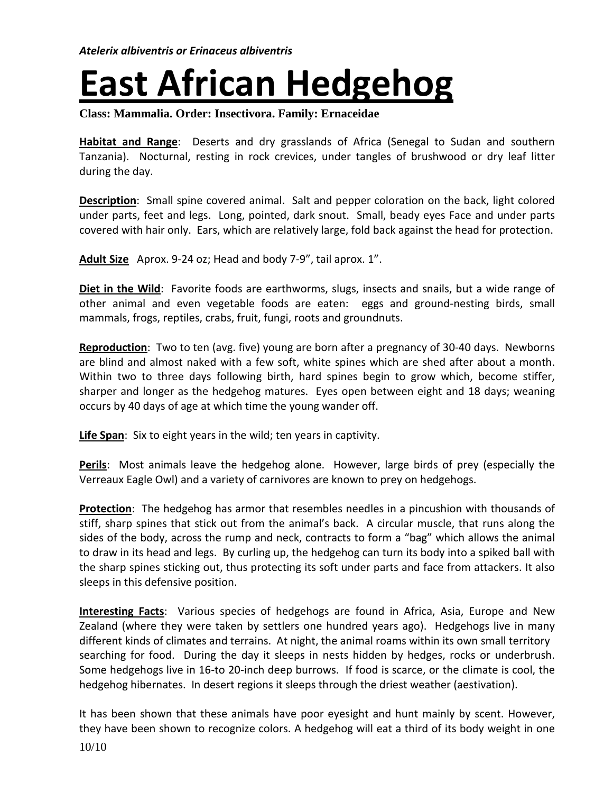## **East African Hedgehog**

**Class: Mammalia. Order: Insectivora. Family: Ernaceidae**

**Habitat and Range**: Deserts and dry grasslands of Africa (Senegal to Sudan and southern Tanzania). Nocturnal, resting in rock crevices, under tangles of brushwood or dry leaf litter during the day.

**Description**: Small spine covered animal. Salt and pepper coloration on the back, light colored under parts, feet and legs. Long, pointed, dark snout. Small, beady eyes Face and under parts covered with hair only. Ears, which are relatively large, fold back against the head for protection.

**Adult Size** Aprox. 9-24 oz; Head and body 7-9", tail aprox. 1".

**Diet in the Wild**: Favorite foods are earthworms, slugs, insects and snails, but a wide range of other animal and even vegetable foods are eaten: eggs and ground-nesting birds, small mammals, frogs, reptiles, crabs, fruit, fungi, roots and groundnuts.

**Reproduction**: Two to ten (avg. five) young are born after a pregnancy of 30-40 days. Newborns are blind and almost naked with a few soft, white spines which are shed after about a month. Within two to three days following birth, hard spines begin to grow which, become stiffer, sharper and longer as the hedgehog matures. Eyes open between eight and 18 days; weaning occurs by 40 days of age at which time the young wander off.

**Life Span**: Six to eight years in the wild; ten years in captivity.

**Perils**: Most animals leave the hedgehog alone. However, large birds of prey (especially the Verreaux Eagle Owl) and a variety of carnivores are known to prey on hedgehogs.

**Protection**: The hedgehog has armor that resembles needles in a pincushion with thousands of stiff, sharp spines that stick out from the animal's back. A circular muscle, that runs along the sides of the body, across the rump and neck, contracts to form a "bag" which allows the animal to draw in its head and legs. By curling up, the hedgehog can turn its body into a spiked ball with the sharp spines sticking out, thus protecting its soft under parts and face from attackers. It also sleeps in this defensive position.

**Interesting Facts**: Various species of hedgehogs are found in Africa, Asia, Europe and New Zealand (where they were taken by settlers one hundred years ago). Hedgehogs live in many different kinds of climates and terrains. At night, the animal roams within its own small territory searching for food. During the day it sleeps in nests hidden by hedges, rocks or underbrush. Some hedgehogs live in 16-to 20-inch deep burrows. If food is scarce, or the climate is cool, the hedgehog hibernates. In desert regions it sleeps through the driest weather (aestivation).

10/10 It has been shown that these animals have poor eyesight and hunt mainly by scent. However, they have been shown to recognize colors. A hedgehog will eat a third of its body weight in one